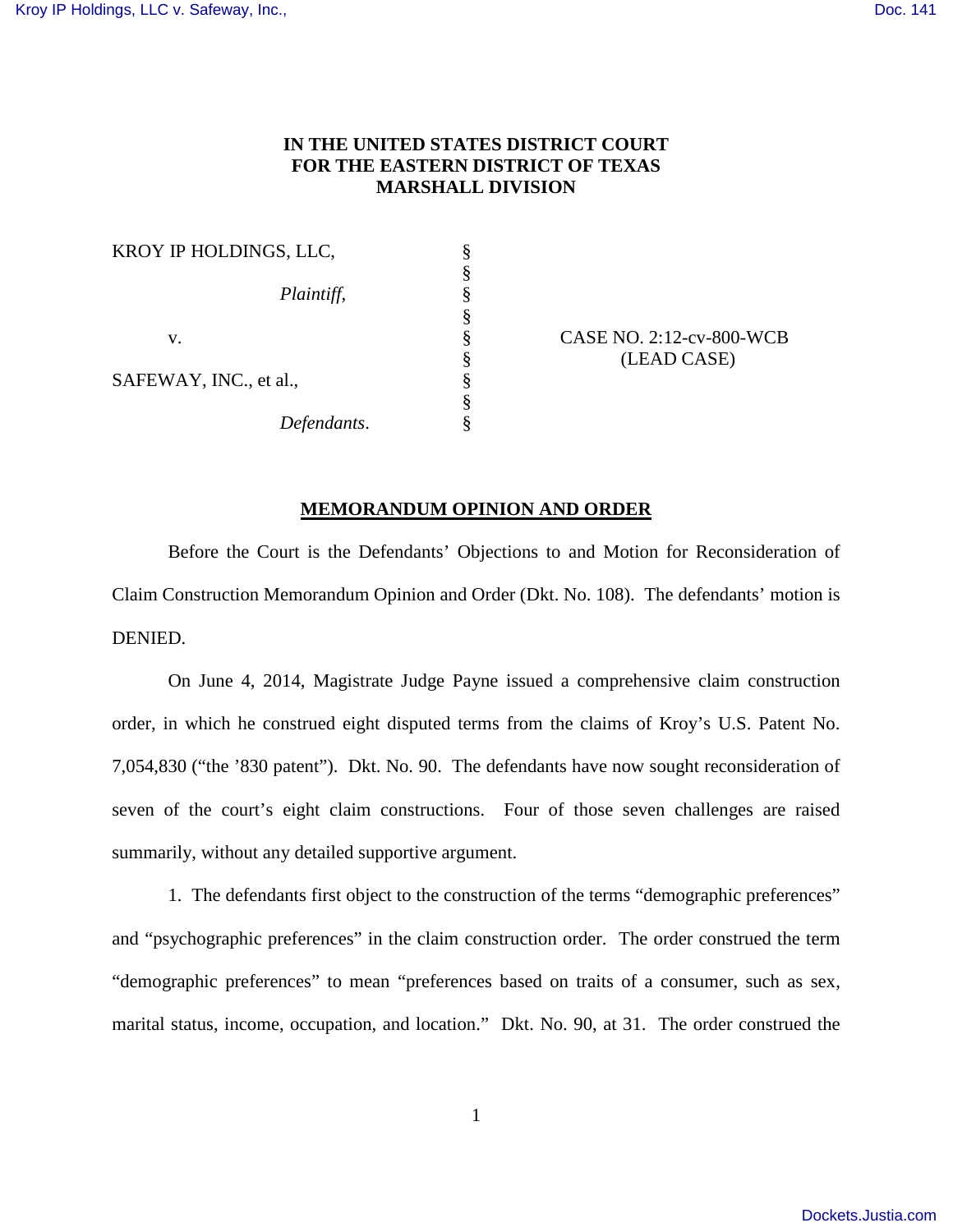## **IN THE UNITED STATES DISTRICT COURT FOR THE EASTERN DISTRICT OF TEXAS MARSHALL DIVISION**

| KROY IP HOLDINGS, LLC, |  |
|------------------------|--|
|                        |  |
| Plaintiff,             |  |
|                        |  |
| V.                     |  |
|                        |  |
| SAFEWAY, INC., et al., |  |
|                        |  |
| Defendants.            |  |

 $CASE NO. 2:12-cv-800-WCB$ § (LEAD CASE)

## **MEMORANDUM OPINION AND ORDER**

Before the Court is the Defendants' Objections to and Motion for Reconsideration of Claim Construction Memorandum Opinion and Order (Dkt. No. 108). The defendants' motion is DENIED.

On June 4, 2014, Magistrate Judge Payne issued a comprehensive claim construction order, in which he construed eight disputed terms from the claims of Kroy's U.S. Patent No. 7,054,830 ("the '830 patent"). Dkt. No. 90. The defendants have now sought reconsideration of seven of the court's eight claim constructions. Four of those seven challenges are raised summarily, without any detailed supportive argument.

1. The defendants first object to the construction of the terms "demographic preferences" and "psychographic preferences" in the claim construction order. The order construed the term "demographic preferences" to mean "preferences based on traits of a consumer, such as sex, marital status, income, occupation, and location." Dkt. No. 90, at 31. The order construed the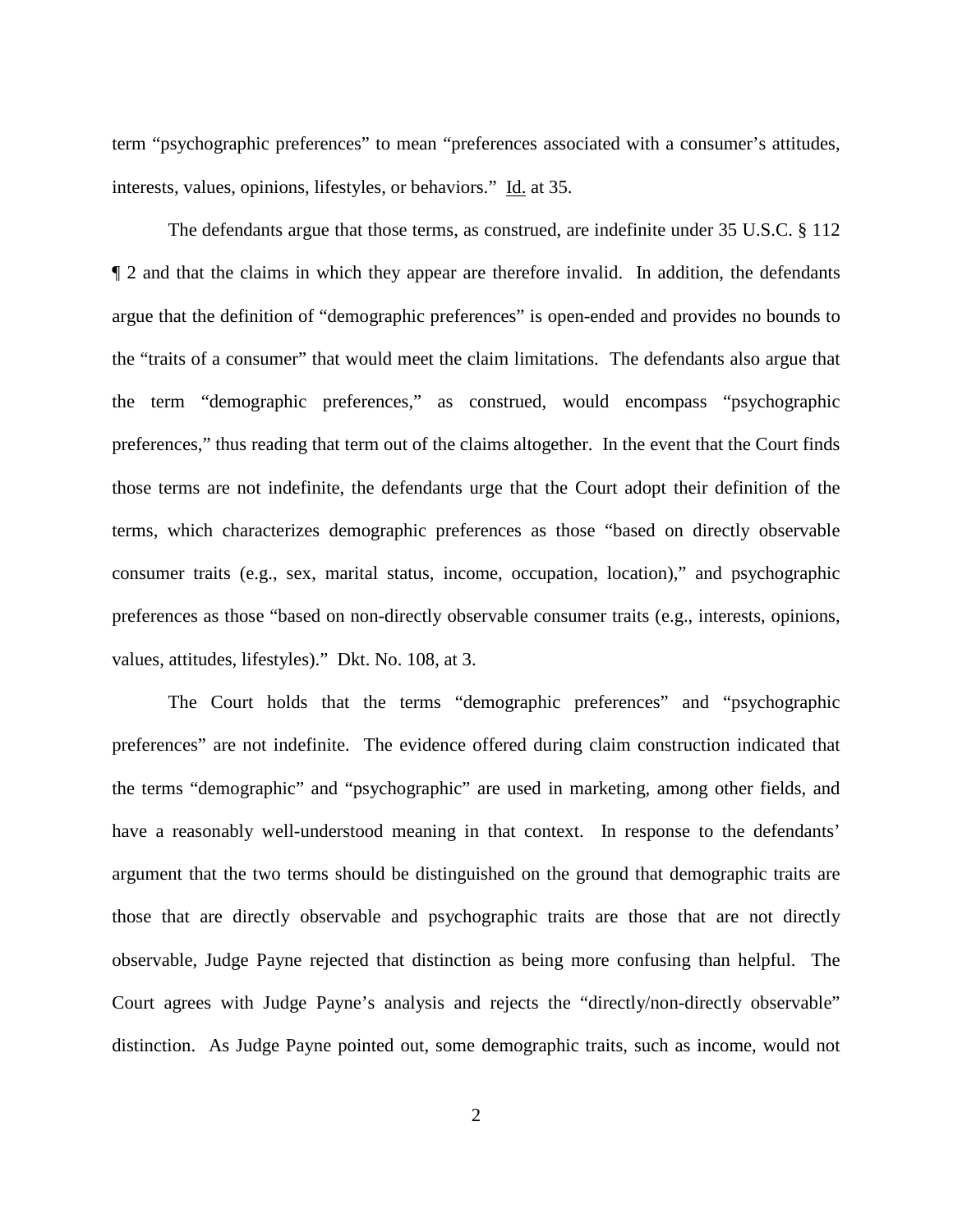term "psychographic preferences" to mean "preferences associated with a consumer's attitudes, interests, values, opinions, lifestyles, or behaviors." Id. at 35.

The defendants argue that those terms, as construed, are indefinite under 35 U.S.C. § 112 ¶ 2 and that the claims in which they appear are therefore invalid. In addition, the defendants argue that the definition of "demographic preferences" is open-ended and provides no bounds to the "traits of a consumer" that would meet the claim limitations. The defendants also argue that the term "demographic preferences," as construed, would encompass "psychographic preferences," thus reading that term out of the claims altogether. In the event that the Court finds those terms are not indefinite, the defendants urge that the Court adopt their definition of the terms, which characterizes demographic preferences as those "based on directly observable consumer traits (e.g., sex, marital status, income, occupation, location)," and psychographic preferences as those "based on non-directly observable consumer traits (e.g., interests, opinions, values, attitudes, lifestyles)." Dkt. No. 108, at 3.

The Court holds that the terms "demographic preferences" and "psychographic preferences" are not indefinite. The evidence offered during claim construction indicated that the terms "demographic" and "psychographic" are used in marketing, among other fields, and have a reasonably well-understood meaning in that context. In response to the defendants' argument that the two terms should be distinguished on the ground that demographic traits are those that are directly observable and psychographic traits are those that are not directly observable, Judge Payne rejected that distinction as being more confusing than helpful. The Court agrees with Judge Payne's analysis and rejects the "directly/non-directly observable" distinction. As Judge Payne pointed out, some demographic traits, such as income, would not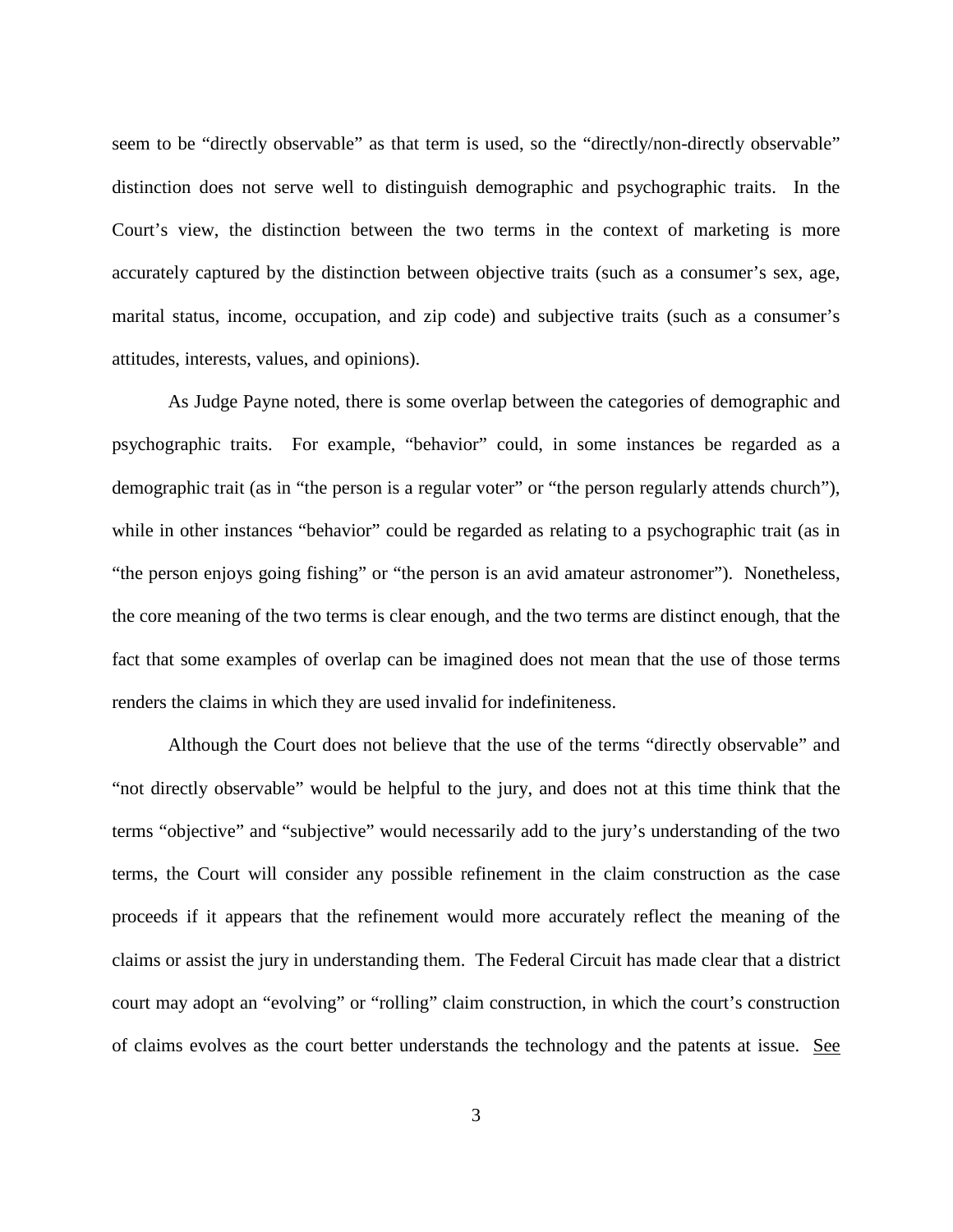seem to be "directly observable" as that term is used, so the "directly/non-directly observable" distinction does not serve well to distinguish demographic and psychographic traits. In the Court's view, the distinction between the two terms in the context of marketing is more accurately captured by the distinction between objective traits (such as a consumer's sex, age, marital status, income, occupation, and zip code) and subjective traits (such as a consumer's attitudes, interests, values, and opinions).

As Judge Payne noted, there is some overlap between the categories of demographic and psychographic traits. For example, "behavior" could, in some instances be regarded as a demographic trait (as in "the person is a regular voter" or "the person regularly attends church"), while in other instances "behavior" could be regarded as relating to a psychographic trait (as in "the person enjoys going fishing" or "the person is an avid amateur astronomer"). Nonetheless, the core meaning of the two terms is clear enough, and the two terms are distinct enough, that the fact that some examples of overlap can be imagined does not mean that the use of those terms renders the claims in which they are used invalid for indefiniteness.

Although the Court does not believe that the use of the terms "directly observable" and "not directly observable" would be helpful to the jury, and does not at this time think that the terms "objective" and "subjective" would necessarily add to the jury's understanding of the two terms, the Court will consider any possible refinement in the claim construction as the case proceeds if it appears that the refinement would more accurately reflect the meaning of the claims or assist the jury in understanding them. The Federal Circuit has made clear that a district court may adopt an "evolving" or "rolling" claim construction, in which the court's construction of claims evolves as the court better understands the technology and the patents at issue. See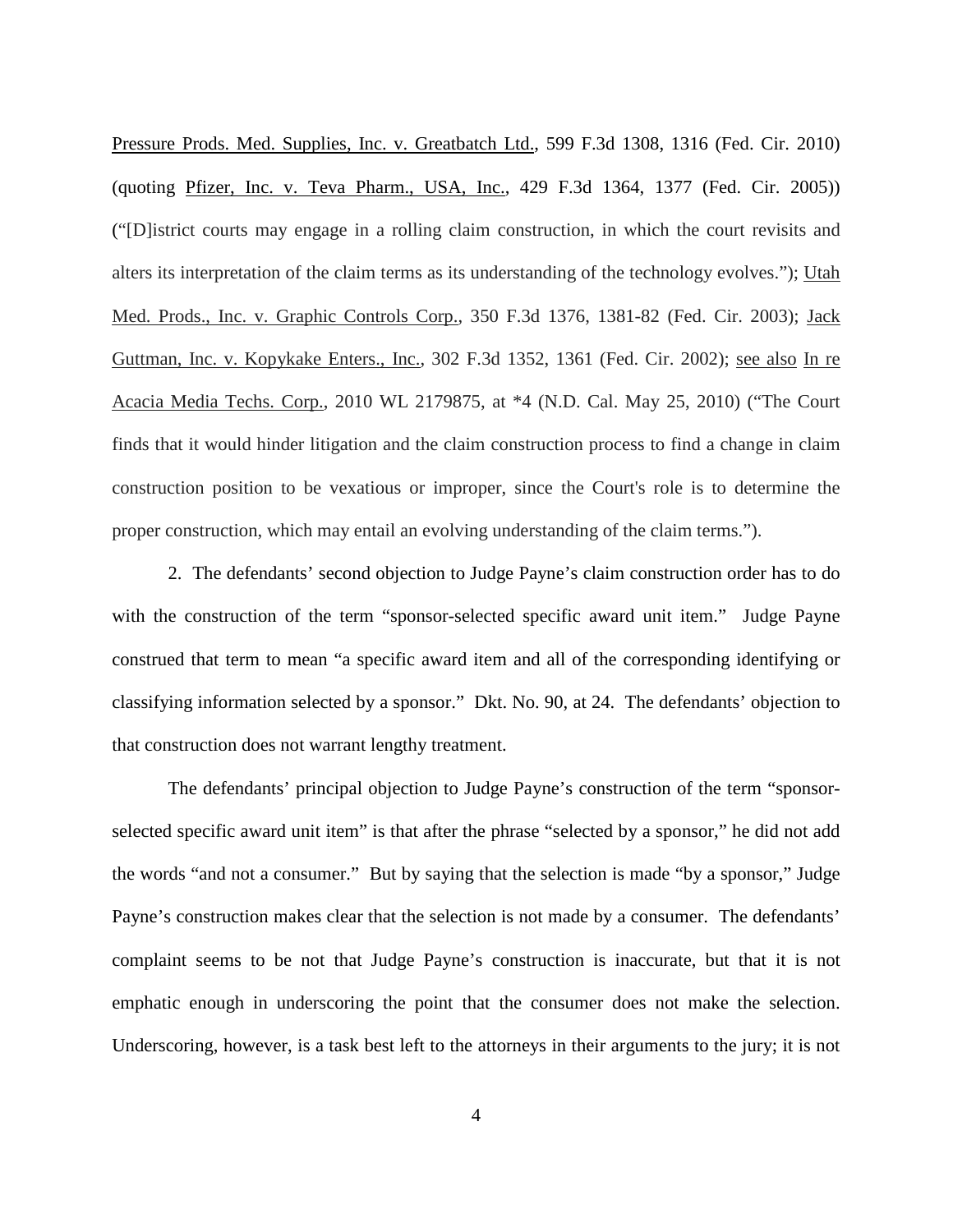Pressure Prods. Med. Supplies, Inc. v. Greatbatch Ltd., 599 F.3d 1308, 1316 (Fed. Cir. 2010) (quoting Pfizer, Inc. v. Teva Pharm., USA, Inc., 429 F.3d 1364, 1377 (Fed. Cir. 2005)) ("[D]istrict courts may engage in a rolling claim construction, in which the court revisits and alters its interpretation of the claim terms as its understanding of the technology evolves."); Utah Med. Prods., Inc. v. Graphic Controls Corp., 350 F.3d 1376, 1381-82 (Fed. Cir. 2003); Jack Guttman, Inc. v. Kopykake Enters., Inc., 302 F.3d 1352, 1361 (Fed. Cir. 2002); see also In re Acacia Media Techs. Corp., 2010 WL 2179875, at \*4 (N.D. Cal. May 25, 2010) ("The Court finds that it would hinder litigation and the claim construction process to find a change in claim construction position to be vexatious or improper, since the Court's role is to determine the proper construction, which may entail an evolving understanding of the claim terms.").

2. The defendants' second objection to Judge Payne's claim construction order has to do with the construction of the term "sponsor-selected specific award unit item." Judge Payne construed that term to mean "a specific award item and all of the corresponding identifying or classifying information selected by a sponsor." Dkt. No. 90, at 24. The defendants' objection to that construction does not warrant lengthy treatment.

The defendants' principal objection to Judge Payne's construction of the term "sponsorselected specific award unit item" is that after the phrase "selected by a sponsor," he did not add the words "and not a consumer." But by saying that the selection is made "by a sponsor," Judge Payne's construction makes clear that the selection is not made by a consumer. The defendants' complaint seems to be not that Judge Payne's construction is inaccurate, but that it is not emphatic enough in underscoring the point that the consumer does not make the selection. Underscoring, however, is a task best left to the attorneys in their arguments to the jury; it is not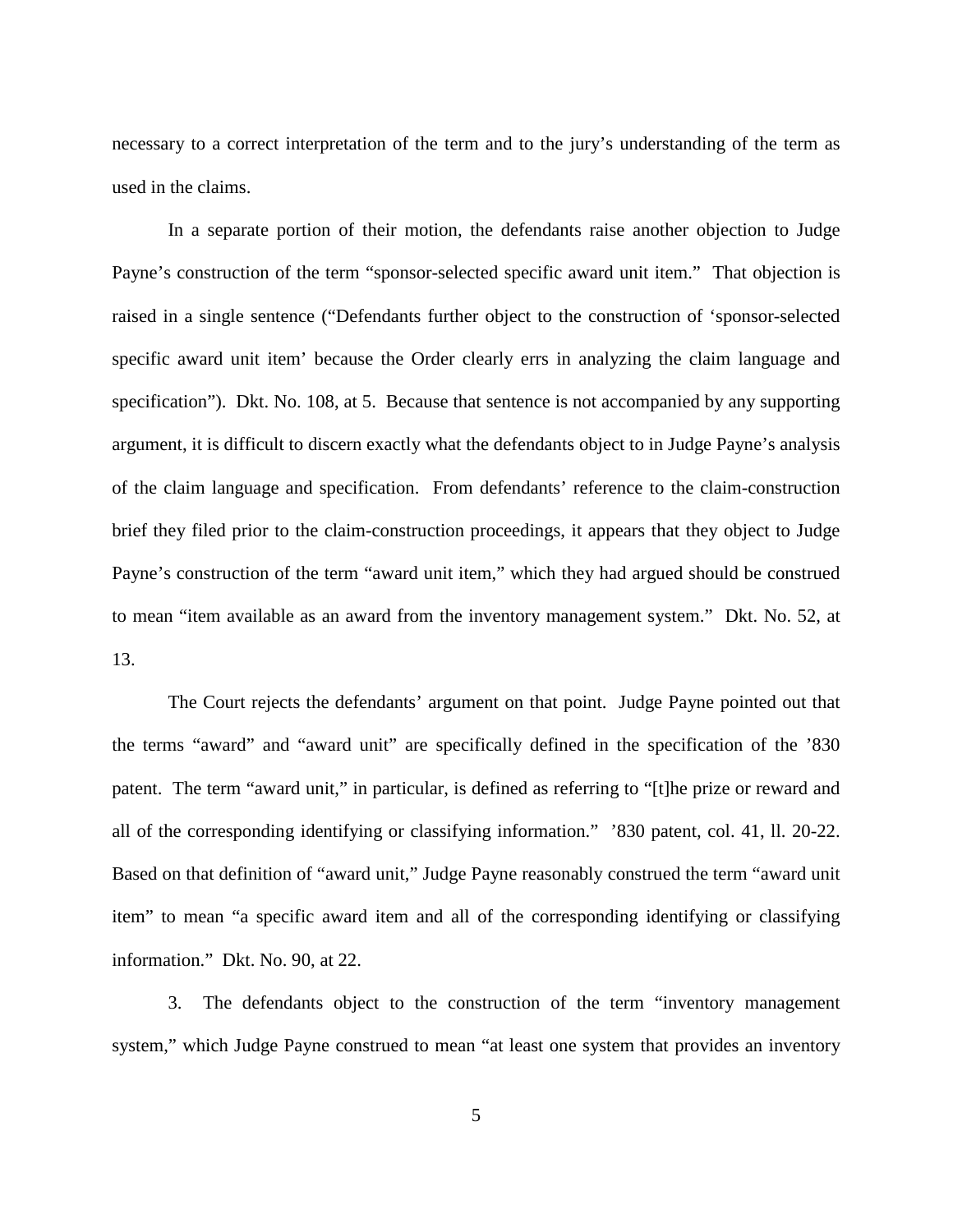necessary to a correct interpretation of the term and to the jury's understanding of the term as used in the claims.

In a separate portion of their motion, the defendants raise another objection to Judge Payne's construction of the term "sponsor-selected specific award unit item." That objection is raised in a single sentence ("Defendants further object to the construction of 'sponsor-selected specific award unit item' because the Order clearly errs in analyzing the claim language and specification"). Dkt. No. 108, at 5. Because that sentence is not accompanied by any supporting argument, it is difficult to discern exactly what the defendants object to in Judge Payne's analysis of the claim language and specification. From defendants' reference to the claim-construction brief they filed prior to the claim-construction proceedings, it appears that they object to Judge Payne's construction of the term "award unit item," which they had argued should be construed to mean "item available as an award from the inventory management system." Dkt. No. 52, at 13.

The Court rejects the defendants' argument on that point. Judge Payne pointed out that the terms "award" and "award unit" are specifically defined in the specification of the '830 patent. The term "award unit," in particular, is defined as referring to "[t]he prize or reward and all of the corresponding identifying or classifying information." '830 patent, col. 41, ll. 20-22. Based on that definition of "award unit," Judge Payne reasonably construed the term "award unit item" to mean "a specific award item and all of the corresponding identifying or classifying information." Dkt. No. 90, at 22.

3. The defendants object to the construction of the term "inventory management system," which Judge Payne construed to mean "at least one system that provides an inventory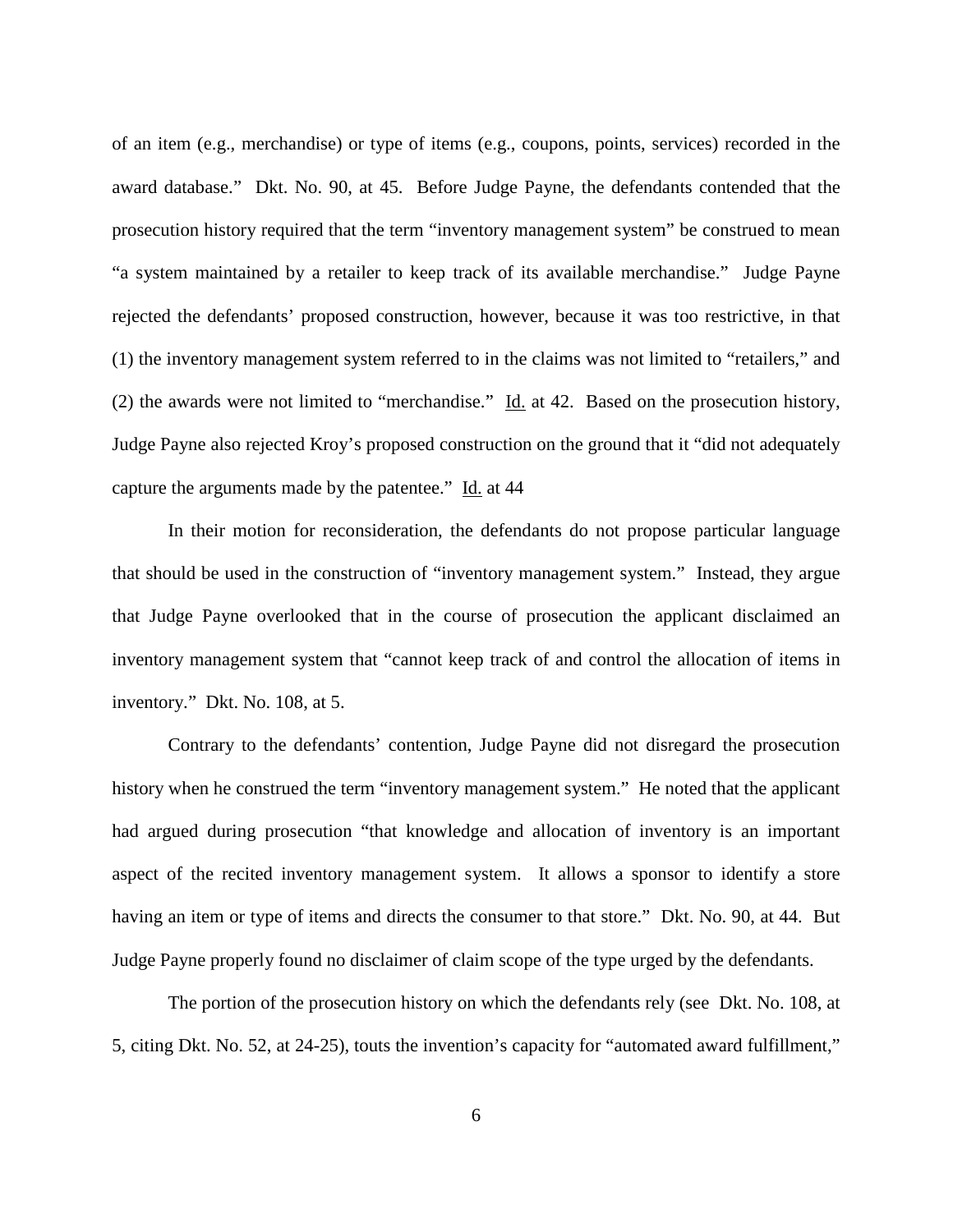of an item (e.g., merchandise) or type of items (e.g., coupons, points, services) recorded in the award database." Dkt. No. 90, at 45. Before Judge Payne, the defendants contended that the prosecution history required that the term "inventory management system" be construed to mean "a system maintained by a retailer to keep track of its available merchandise." Judge Payne rejected the defendants' proposed construction, however, because it was too restrictive, in that (1) the inventory management system referred to in the claims was not limited to "retailers," and (2) the awards were not limited to "merchandise." Id. at 42. Based on the prosecution history, Judge Payne also rejected Kroy's proposed construction on the ground that it "did not adequately capture the arguments made by the patentee." Id. at 44

In their motion for reconsideration, the defendants do not propose particular language that should be used in the construction of "inventory management system." Instead, they argue that Judge Payne overlooked that in the course of prosecution the applicant disclaimed an inventory management system that "cannot keep track of and control the allocation of items in inventory." Dkt. No. 108, at 5.

Contrary to the defendants' contention, Judge Payne did not disregard the prosecution history when he construed the term "inventory management system." He noted that the applicant had argued during prosecution "that knowledge and allocation of inventory is an important aspect of the recited inventory management system. It allows a sponsor to identify a store having an item or type of items and directs the consumer to that store." Dkt. No. 90, at 44. But Judge Payne properly found no disclaimer of claim scope of the type urged by the defendants.

The portion of the prosecution history on which the defendants rely (see Dkt. No. 108, at 5, citing Dkt. No. 52, at 24-25), touts the invention's capacity for "automated award fulfillment,"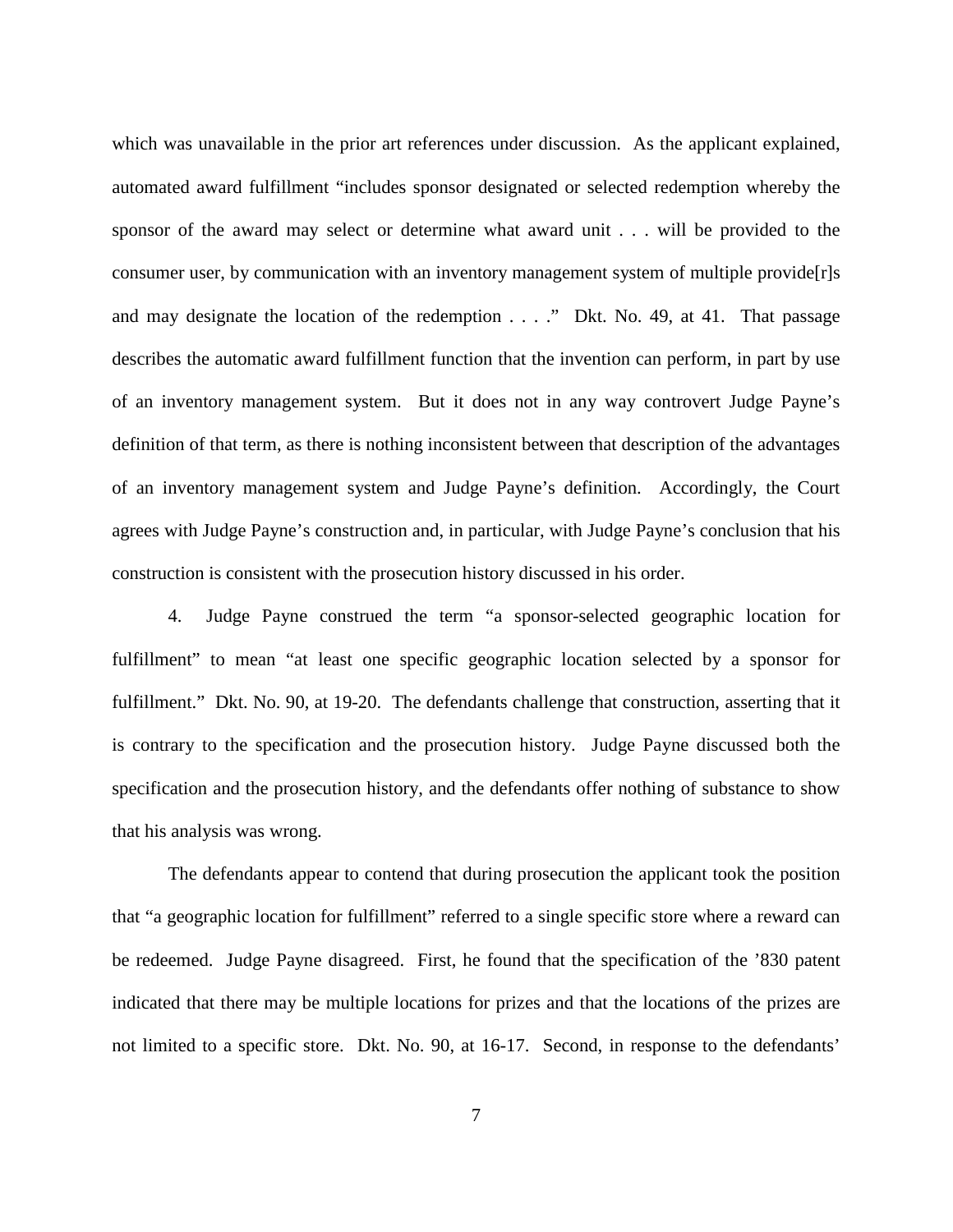which was unavailable in the prior art references under discussion. As the applicant explained, automated award fulfillment "includes sponsor designated or selected redemption whereby the sponsor of the award may select or determine what award unit . . . will be provided to the consumer user, by communication with an inventory management system of multiple provide[r]s and may designate the location of the redemption . . . ." Dkt. No. 49, at 41. That passage describes the automatic award fulfillment function that the invention can perform, in part by use of an inventory management system. But it does not in any way controvert Judge Payne's definition of that term, as there is nothing inconsistent between that description of the advantages of an inventory management system and Judge Payne's definition. Accordingly, the Court agrees with Judge Payne's construction and, in particular, with Judge Payne's conclusion that his construction is consistent with the prosecution history discussed in his order.

4. Judge Payne construed the term "a sponsor-selected geographic location for fulfillment" to mean "at least one specific geographic location selected by a sponsor for fulfillment." Dkt. No. 90, at 19-20. The defendants challenge that construction, asserting that it is contrary to the specification and the prosecution history. Judge Payne discussed both the specification and the prosecution history, and the defendants offer nothing of substance to show that his analysis was wrong.

The defendants appear to contend that during prosecution the applicant took the position that "a geographic location for fulfillment" referred to a single specific store where a reward can be redeemed. Judge Payne disagreed. First, he found that the specification of the '830 patent indicated that there may be multiple locations for prizes and that the locations of the prizes are not limited to a specific store. Dkt. No. 90, at 16-17. Second, in response to the defendants'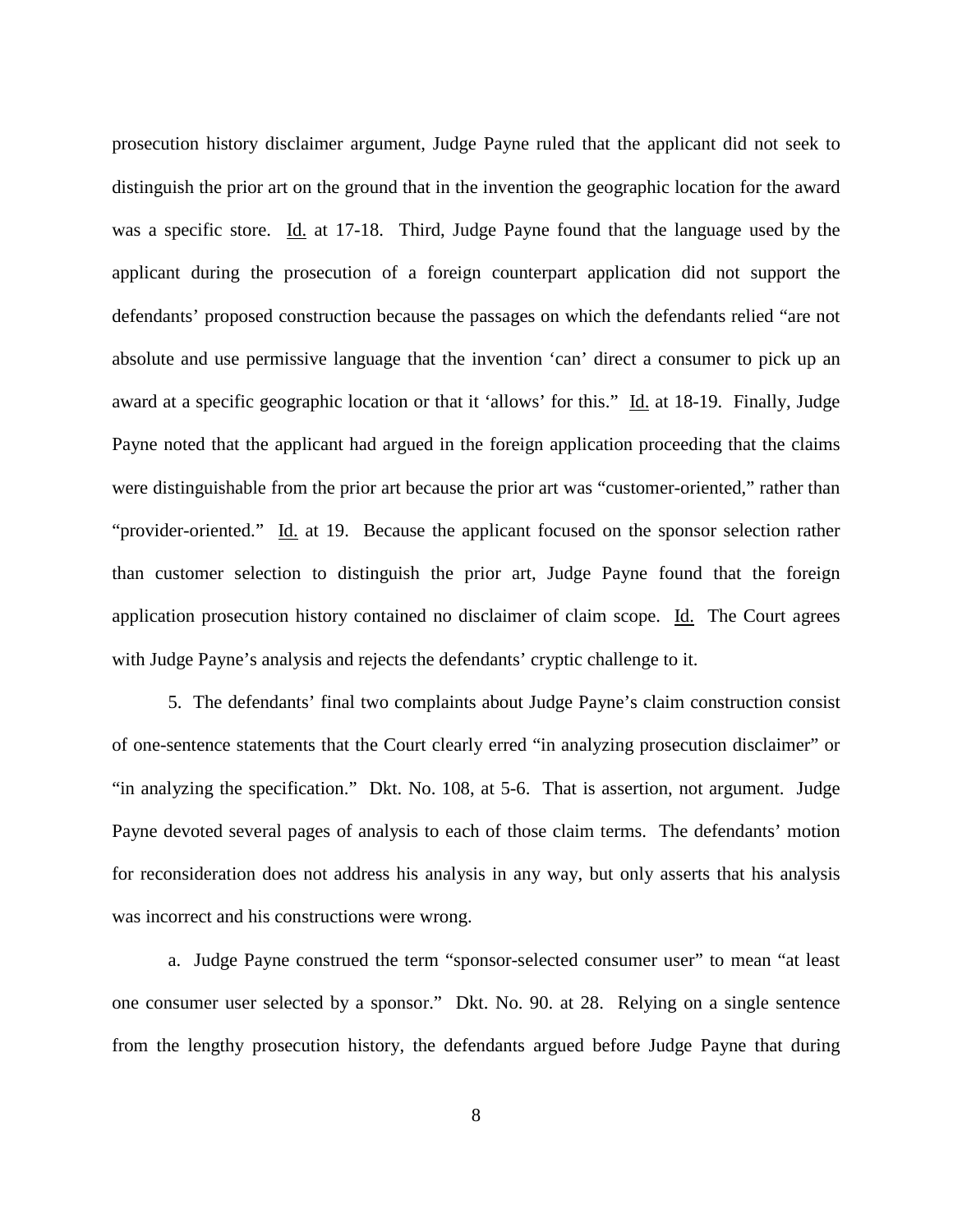prosecution history disclaimer argument, Judge Payne ruled that the applicant did not seek to distinguish the prior art on the ground that in the invention the geographic location for the award was a specific store. Id. at 17-18. Third, Judge Payne found that the language used by the applicant during the prosecution of a foreign counterpart application did not support the defendants' proposed construction because the passages on which the defendants relied "are not absolute and use permissive language that the invention 'can' direct a consumer to pick up an award at a specific geographic location or that it 'allows' for this." Id. at 18-19. Finally, Judge Payne noted that the applicant had argued in the foreign application proceeding that the claims were distinguishable from the prior art because the prior art was "customer-oriented," rather than "provider-oriented." Id. at 19. Because the applicant focused on the sponsor selection rather than customer selection to distinguish the prior art, Judge Payne found that the foreign application prosecution history contained no disclaimer of claim scope. Id. The Court agrees with Judge Payne's analysis and rejects the defendants' cryptic challenge to it.

5. The defendants' final two complaints about Judge Payne's claim construction consist of one-sentence statements that the Court clearly erred "in analyzing prosecution disclaimer" or "in analyzing the specification." Dkt. No. 108, at 5-6. That is assertion, not argument. Judge Payne devoted several pages of analysis to each of those claim terms. The defendants' motion for reconsideration does not address his analysis in any way, but only asserts that his analysis was incorrect and his constructions were wrong.

a. Judge Payne construed the term "sponsor-selected consumer user" to mean "at least one consumer user selected by a sponsor." Dkt. No. 90. at 28. Relying on a single sentence from the lengthy prosecution history, the defendants argued before Judge Payne that during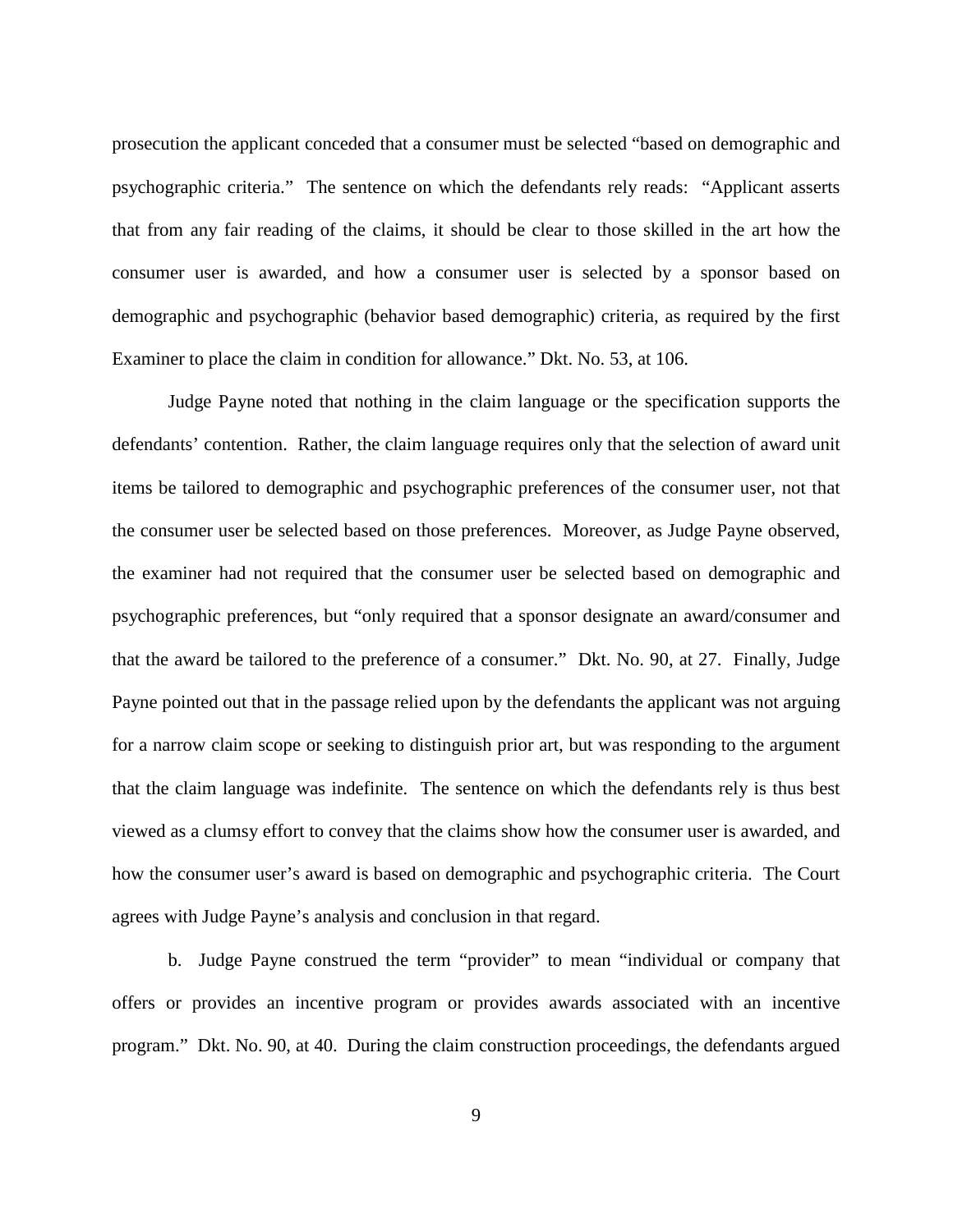prosecution the applicant conceded that a consumer must be selected "based on demographic and psychographic criteria." The sentence on which the defendants rely reads: "Applicant asserts that from any fair reading of the claims, it should be clear to those skilled in the art how the consumer user is awarded, and how a consumer user is selected by a sponsor based on demographic and psychographic (behavior based demographic) criteria, as required by the first Examiner to place the claim in condition for allowance." Dkt. No. 53, at 106.

Judge Payne noted that nothing in the claim language or the specification supports the defendants' contention. Rather, the claim language requires only that the selection of award unit items be tailored to demographic and psychographic preferences of the consumer user, not that the consumer user be selected based on those preferences. Moreover, as Judge Payne observed, the examiner had not required that the consumer user be selected based on demographic and psychographic preferences, but "only required that a sponsor designate an award/consumer and that the award be tailored to the preference of a consumer." Dkt. No. 90, at 27. Finally, Judge Payne pointed out that in the passage relied upon by the defendants the applicant was not arguing for a narrow claim scope or seeking to distinguish prior art, but was responding to the argument that the claim language was indefinite. The sentence on which the defendants rely is thus best viewed as a clumsy effort to convey that the claims show how the consumer user is awarded, and how the consumer user's award is based on demographic and psychographic criteria. The Court agrees with Judge Payne's analysis and conclusion in that regard.

b. Judge Payne construed the term "provider" to mean "individual or company that offers or provides an incentive program or provides awards associated with an incentive program." Dkt. No. 90, at 40. During the claim construction proceedings, the defendants argued